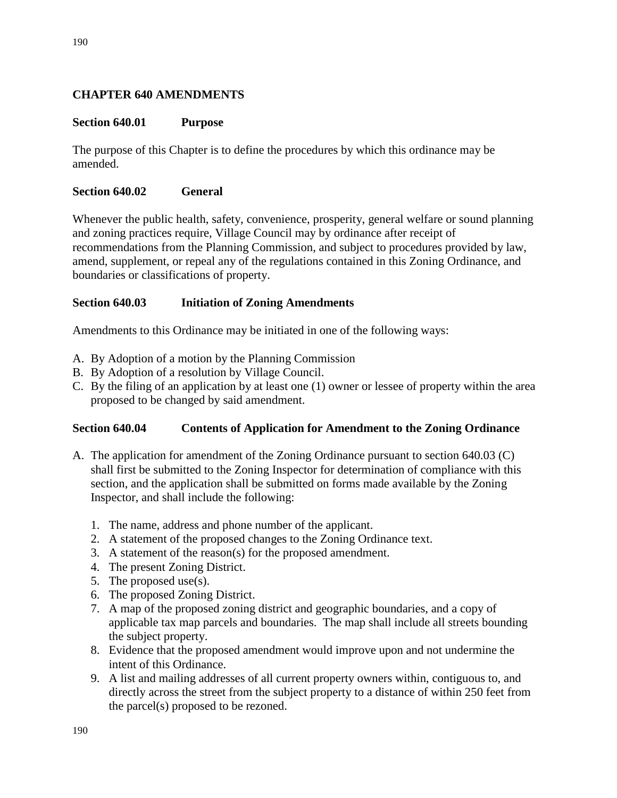# **CHAPTER 640 AMENDMENTS**

## **Section 640.01 Purpose**

The purpose of this Chapter is to define the procedures by which this ordinance may be amended.

#### **Section 640.02 General**

Whenever the public health, safety, convenience, prosperity, general welfare or sound planning and zoning practices require, Village Council may by ordinance after receipt of recommendations from the Planning Commission, and subject to procedures provided by law, amend, supplement, or repeal any of the regulations contained in this Zoning Ordinance, and boundaries or classifications of property.

#### **Section 640.03 Initiation of Zoning Amendments**

Amendments to this Ordinance may be initiated in one of the following ways:

- A. By Adoption of a motion by the Planning Commission
- B. By Adoption of a resolution by Village Council.
- C. By the filing of an application by at least one (1) owner or lessee of property within the area proposed to be changed by said amendment.

#### **Section 640.04 Contents of Application for Amendment to the Zoning Ordinance**

- A. The application for amendment of the Zoning Ordinance pursuant to section 640.03 (C) shall first be submitted to the Zoning Inspector for determination of compliance with this section, and the application shall be submitted on forms made available by the Zoning Inspector, and shall include the following:
	- 1. The name, address and phone number of the applicant.
	- 2. A statement of the proposed changes to the Zoning Ordinance text.
	- 3. A statement of the reason(s) for the proposed amendment.
	- 4. The present Zoning District.
	- 5. The proposed use(s).
	- 6. The proposed Zoning District.
	- 7. A map of the proposed zoning district and geographic boundaries, and a copy of applicable tax map parcels and boundaries. The map shall include all streets bounding the subject property.
	- 8. Evidence that the proposed amendment would improve upon and not undermine the intent of this Ordinance.
	- 9. A list and mailing addresses of all current property owners within, contiguous to, and directly across the street from the subject property to a distance of within 250 feet from the parcel(s) proposed to be rezoned.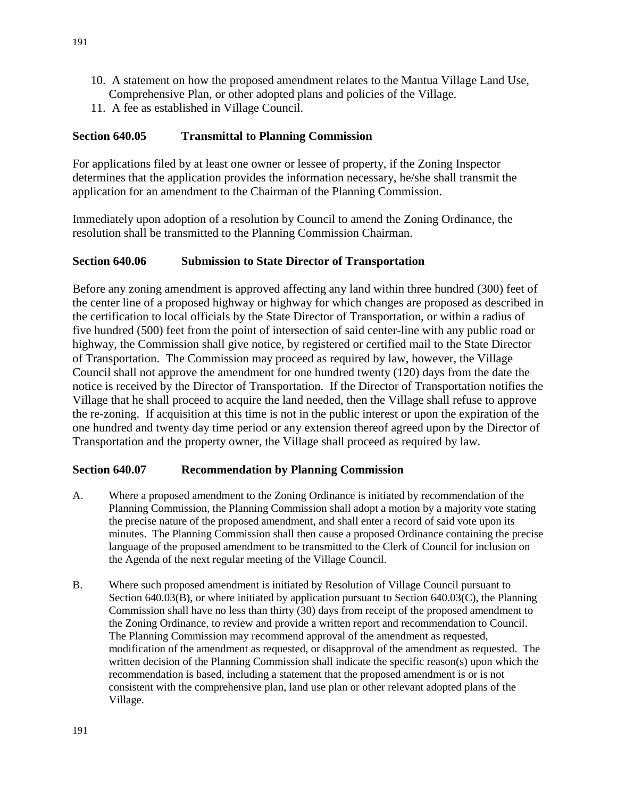- 10. A statement on how the proposed amendment relates to the Mantua Village Land Use, Comprehensive Plan, or other adopted plans and policies of the Village.
- 11. A fee as established in Village Council.

## **Section 640.05 Transmittal to Planning Commission**

For applications filed by at least one owner or lessee of property, if the Zoning Inspector determines that the application provides the information necessary, he/she shall transmit the application for an amendment to the Chairman of the Planning Commission.

Immediately upon adoption of a resolution by Council to amend the Zoning Ordinance, the resolution shall be transmitted to the Planning Commission Chairman.

#### **Section 640.06 Submission to State Director of Transportation**

Before any zoning amendment is approved affecting any land within three hundred (300) feet of the center line of a proposed highway or highway for which changes are proposed as described in the certification to local officials by the State Director of Transportation, or within a radius of five hundred (500) feet from the point of intersection of said center-line with any public road or highway, the Commission shall give notice, by registered or certified mail to the State Director of Transportation. The Commission may proceed as required by law, however, the Village Council shall not approve the amendment for one hundred twenty (120) days from the date the notice is received by the Director of Transportation. If the Director of Transportation notifies the Village that he shall proceed to acquire the land needed, then the Village shall refuse to approve the re-zoning. If acquisition at this time is not in the public interest or upon the expiration of the one hundred and twenty day time period or any extension thereof agreed upon by the Director of Transportation and the property owner, the Village shall proceed as required by law.

#### **Section 640.07 Recommendation by Planning Commission**

- A. Where a proposed amendment to the Zoning Ordinance is initiated by recommendation of the Planning Commission, the Planning Commission shall adopt a motion by a majority vote stating the precise nature of the proposed amendment, and shall enter a record of said vote upon its minutes. The Planning Commission shall then cause a proposed Ordinance containing the precise language of the proposed amendment to be transmitted to the Clerk of Council for inclusion on the Agenda of the next regular meeting of the Village Council.
- B. Where such proposed amendment is initiated by Resolution of Village Council pursuant to Section 640.03(B), or where initiated by application pursuant to Section 640.03(C), the Planning Commission shall have no less than thirty (30) days from receipt of the proposed amendment to the Zoning Ordinance, to review and provide a written report and recommendation to Council. The Planning Commission may recommend approval of the amendment as requested, modification of the amendment as requested, or disapproval of the amendment as requested. The written decision of the Planning Commission shall indicate the specific reason(s) upon which the recommendation is based, including a statement that the proposed amendment is or is not consistent with the comprehensive plan, land use plan or other relevant adopted plans of the Village.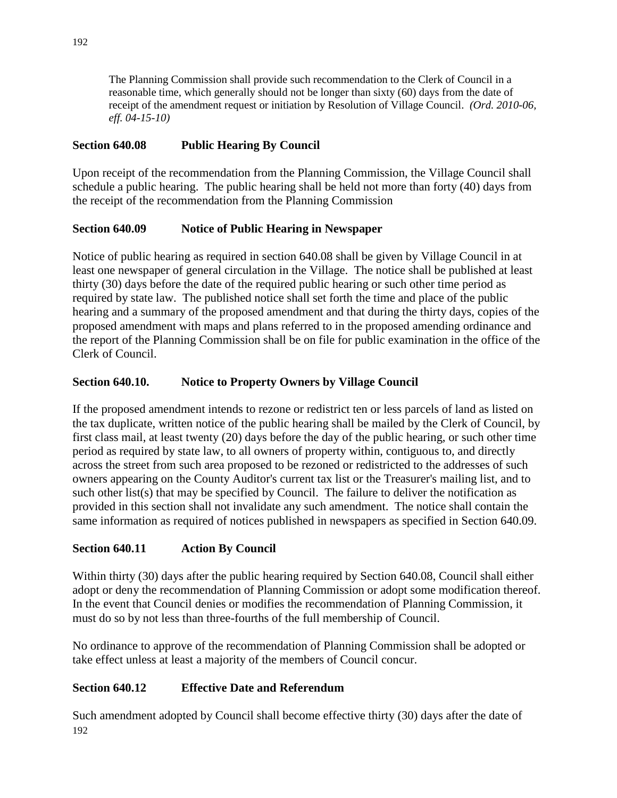The Planning Commission shall provide such recommendation to the Clerk of Council in a reasonable time, which generally should not be longer than sixty (60) days from the date of receipt of the amendment request or initiation by Resolution of Village Council. *(Ord. 2010-06, eff. 04-15-10)*

# **Section 640.08 Public Hearing By Council**

Upon receipt of the recommendation from the Planning Commission, the Village Council shall schedule a public hearing. The public hearing shall be held not more than forty (40) days from the receipt of the recommendation from the Planning Commission

# **Section 640.09 Notice of Public Hearing in Newspaper**

Notice of public hearing as required in section 640.08 shall be given by Village Council in at least one newspaper of general circulation in the Village. The notice shall be published at least thirty (30) days before the date of the required public hearing or such other time period as required by state law. The published notice shall set forth the time and place of the public hearing and a summary of the proposed amendment and that during the thirty days, copies of the proposed amendment with maps and plans referred to in the proposed amending ordinance and the report of the Planning Commission shall be on file for public examination in the office of the Clerk of Council.

# **Section 640.10. Notice to Property Owners by Village Council**

If the proposed amendment intends to rezone or redistrict ten or less parcels of land as listed on the tax duplicate, written notice of the public hearing shall be mailed by the Clerk of Council, by first class mail, at least twenty (20) days before the day of the public hearing, or such other time period as required by state law, to all owners of property within, contiguous to, and directly across the street from such area proposed to be rezoned or redistricted to the addresses of such owners appearing on the County Auditor's current tax list or the Treasurer's mailing list, and to such other list(s) that may be specified by Council. The failure to deliver the notification as provided in this section shall not invalidate any such amendment. The notice shall contain the same information as required of notices published in newspapers as specified in Section 640.09.

# **Section 640.11 Action By Council**

Within thirty (30) days after the public hearing required by Section 640.08, Council shall either adopt or deny the recommendation of Planning Commission or adopt some modification thereof. In the event that Council denies or modifies the recommendation of Planning Commission, it must do so by not less than three-fourths of the full membership of Council.

No ordinance to approve of the recommendation of Planning Commission shall be adopted or take effect unless at least a majority of the members of Council concur.

# **Section 640.12 Effective Date and Referendum**

192 Such amendment adopted by Council shall become effective thirty (30) days after the date of